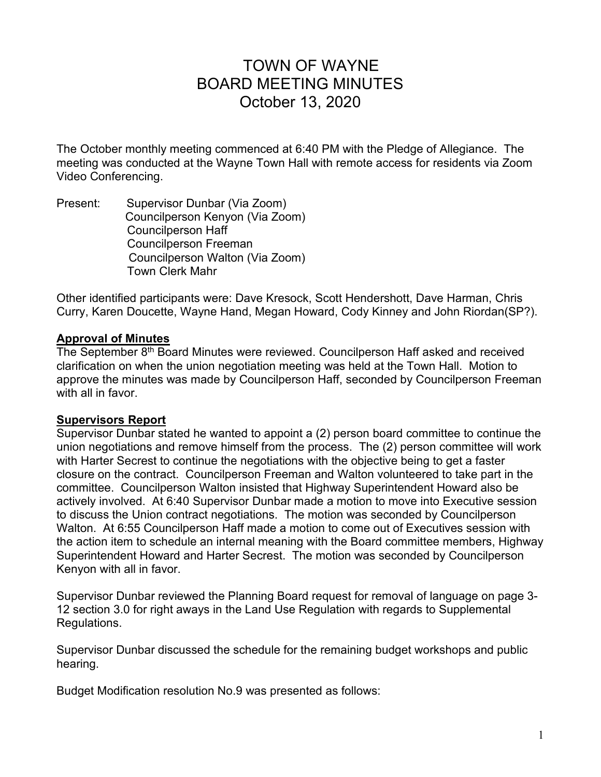# TOWN OF WAYNE BOARD MEETING MINUTES October 13, 2020

The October monthly meeting commenced at 6:40 PM with the Pledge of Allegiance. The meeting was conducted at the Wayne Town Hall with remote access for residents via Zoom Video Conferencing.

Present: Supervisor Dunbar (Via Zoom) Councilperson Kenyon (Via Zoom) Councilperson Haff Councilperson Freeman Councilperson Walton (Via Zoom) Town Clerk Mahr

Other identified participants were: Dave Kresock, Scott Hendershott, Dave Harman, Chris Curry, Karen Doucette, Wayne Hand, Megan Howard, Cody Kinney and John Riordan(SP?).

#### **Approval of Minutes**

The September 8<sup>th</sup> Board Minutes were reviewed. Councilperson Haff asked and received clarification on when the union negotiation meeting was held at the Town Hall. Motion to approve the minutes was made by Councilperson Haff, seconded by Councilperson Freeman with all in favor.

#### **Supervisors Report**

Supervisor Dunbar stated he wanted to appoint a (2) person board committee to continue the union negotiations and remove himself from the process. The (2) person committee will work with Harter Secrest to continue the negotiations with the objective being to get a faster closure on the contract. Councilperson Freeman and Walton volunteered to take part in the committee. Councilperson Walton insisted that Highway Superintendent Howard also be actively involved. At 6:40 Supervisor Dunbar made a motion to move into Executive session to discuss the Union contract negotiations. The motion was seconded by Councilperson Walton. At 6:55 Councilperson Haff made a motion to come out of Executives session with the action item to schedule an internal meaning with the Board committee members, Highway Superintendent Howard and Harter Secrest. The motion was seconded by Councilperson Kenyon with all in favor.

Supervisor Dunbar reviewed the Planning Board request for removal of language on page 3- 12 section 3.0 for right aways in the Land Use Regulation with regards to Supplemental Regulations.

Supervisor Dunbar discussed the schedule for the remaining budget workshops and public hearing.

Budget Modification resolution No.9 was presented as follows: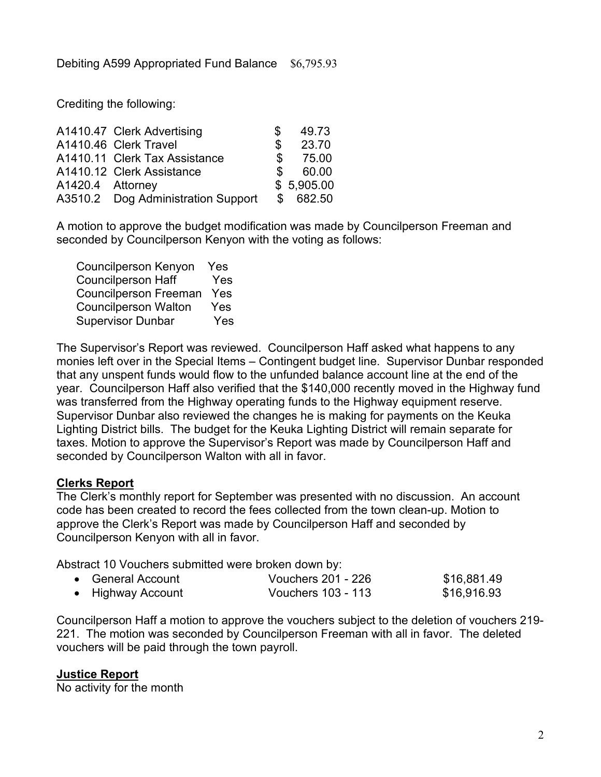Crediting the following:

|                  | A1410.47 Clerk Advertising         | S             | 49.73      |
|------------------|------------------------------------|---------------|------------|
|                  | A1410.46 Clerk Travel              | S             | 23.70      |
|                  | A1410.11 Clerk Tax Assistance      | \$            | 75.00      |
|                  | A1410.12 Clerk Assistance          | $\mathcal{S}$ | 60.00      |
| A1420.4 Attorney |                                    |               | \$5,905.00 |
|                  | A3510.2 Dog Administration Support |               | \$682.50   |

A motion to approve the budget modification was made by Councilperson Freeman and seconded by Councilperson Kenyon with the voting as follows:

| <b>Councilperson Kenyon</b>  | Yes |
|------------------------------|-----|
| <b>Councilperson Haff</b>    | Yes |
| <b>Councilperson Freeman</b> | Yes |
| <b>Councilperson Walton</b>  | Yes |
| <b>Supervisor Dunbar</b>     | Yes |

The Supervisor's Report was reviewed. Councilperson Haff asked what happens to any monies left over in the Special Items – Contingent budget line. Supervisor Dunbar responded that any unspent funds would flow to the unfunded balance account line at the end of the year. Councilperson Haff also verified that the \$140,000 recently moved in the Highway fund was transferred from the Highway operating funds to the Highway equipment reserve. Supervisor Dunbar also reviewed the changes he is making for payments on the Keuka Lighting District bills. The budget for the Keuka Lighting District will remain separate for taxes. Motion to approve the Supervisor's Report was made by Councilperson Haff and seconded by Councilperson Walton with all in favor.

#### **Clerks Report**

The Clerk's monthly report for September was presented with no discussion. An account code has been created to record the fees collected from the town clean-up. Motion to approve the Clerk's Report was made by Councilperson Haff and seconded by Councilperson Kenyon with all in favor.

Abstract 10 Vouchers submitted were broken down by:

| • General Account | Vouchers 201 - 226 | \$16,881.49 |
|-------------------|--------------------|-------------|
| • Highway Account | Vouchers 103 - 113 | \$16,916.93 |

Councilperson Haff a motion to approve the vouchers subject to the deletion of vouchers 219- 221. The motion was seconded by Councilperson Freeman with all in favor. The deleted vouchers will be paid through the town payroll.

#### **Justice Report**

No activity for the month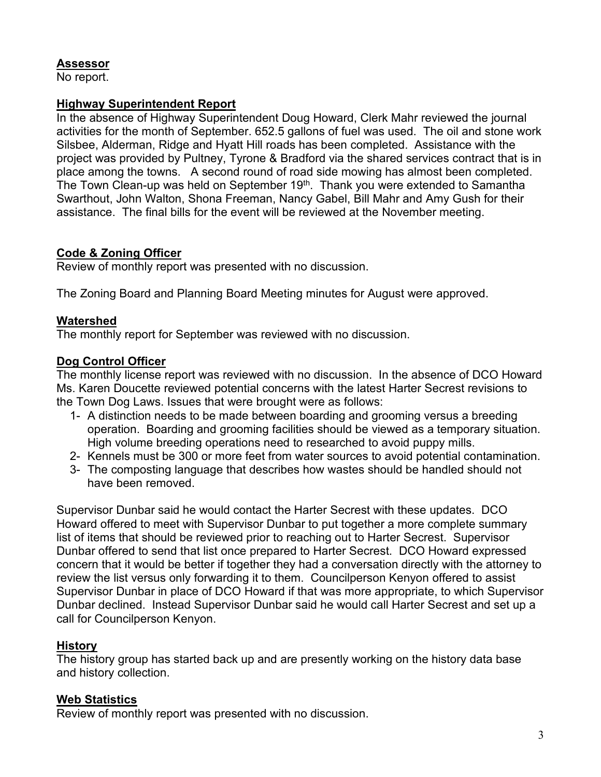# **Assessor**

No report.

#### **Highway Superintendent Report**

In the absence of Highway Superintendent Doug Howard, Clerk Mahr reviewed the journal activities for the month of September. 652.5 gallons of fuel was used. The oil and stone work Silsbee, Alderman, Ridge and Hyatt Hill roads has been completed. Assistance with the project was provided by Pultney, Tyrone & Bradford via the shared services contract that is in place among the towns. A second round of road side mowing has almost been completed. The Town Clean-up was held on September 19<sup>th</sup>. Thank you were extended to Samantha Swarthout, John Walton, Shona Freeman, Nancy Gabel, Bill Mahr and Amy Gush for their assistance. The final bills for the event will be reviewed at the November meeting.

# **Code & Zoning Officer**

Review of monthly report was presented with no discussion.

The Zoning Board and Planning Board Meeting minutes for August were approved.

# **Watershed**

The monthly report for September was reviewed with no discussion.

# **Dog Control Officer**

The monthly license report was reviewed with no discussion. In the absence of DCO Howard Ms. Karen Doucette reviewed potential concerns with the latest Harter Secrest revisions to the Town Dog Laws. Issues that were brought were as follows:

- 1- A distinction needs to be made between boarding and grooming versus a breeding operation. Boarding and grooming facilities should be viewed as a temporary situation. High volume breeding operations need to researched to avoid puppy mills.
- 2- Kennels must be 300 or more feet from water sources to avoid potential contamination.
- 3- The composting language that describes how wastes should be handled should not have been removed.

Supervisor Dunbar said he would contact the Harter Secrest with these updates. DCO Howard offered to meet with Supervisor Dunbar to put together a more complete summary list of items that should be reviewed prior to reaching out to Harter Secrest. Supervisor Dunbar offered to send that list once prepared to Harter Secrest. DCO Howard expressed concern that it would be better if together they had a conversation directly with the attorney to review the list versus only forwarding it to them. Councilperson Kenyon offered to assist Supervisor Dunbar in place of DCO Howard if that was more appropriate, to which Supervisor Dunbar declined. Instead Supervisor Dunbar said he would call Harter Secrest and set up a call for Councilperson Kenyon.

# **History**

The history group has started back up and are presently working on the history data base and history collection.

# **Web Statistics**

Review of monthly report was presented with no discussion.